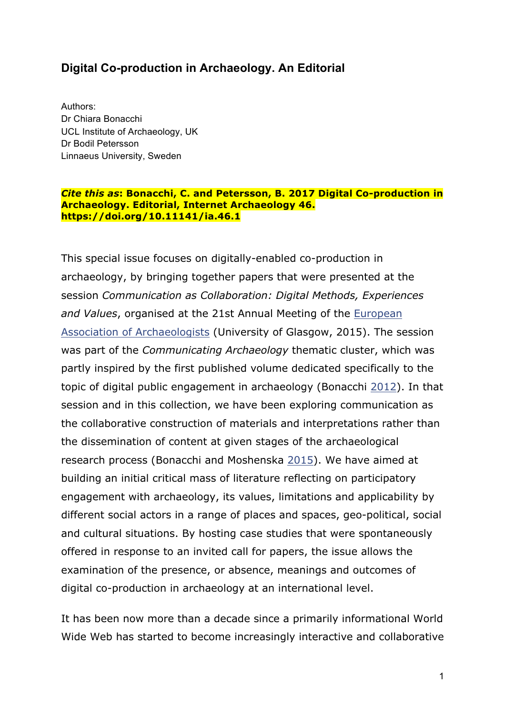### **Digital Co-production in Archaeology. An Editorial**

Authors: Dr Chiara Bonacchi UCL Institute of Archaeology, UK Dr Bodil Petersson Linnaeus University, Sweden

#### *Cite this as***: Bonacchi, C. and Petersson, B. 2017 Digital Co-production in Archaeology. Editorial, Internet Archaeology 46. https://doi.org/10.11141/ia.46.1**

This special issue focuses on digitally-enabled co-production in archaeology, by bringing together papers that were presented at the session *Communication as Collaboration: Digital Methods, Experiences and Values*, organised at the 21st Annual Meeting of the European Association of Archaeologists (University of Glasgow, 2015). The session was part of the *Communicating Archaeology* thematic cluster, which was partly inspired by the first published volume dedicated specifically to the topic of digital public engagement in archaeology (Bonacchi 2012). In that session and in this collection, we have been exploring communication as the collaborative construction of materials and interpretations rather than the dissemination of content at given stages of the archaeological research process (Bonacchi and Moshenska 2015). We have aimed at building an initial critical mass of literature reflecting on participatory engagement with archaeology, its values, limitations and applicability by different social actors in a range of places and spaces, geo-political, social and cultural situations. By hosting case studies that were spontaneously offered in response to an invited call for papers, the issue allows the examination of the presence, or absence, meanings and outcomes of digital co-production in archaeology at an international level.

It has been now more than a decade since a primarily informational World Wide Web has started to become increasingly interactive and collaborative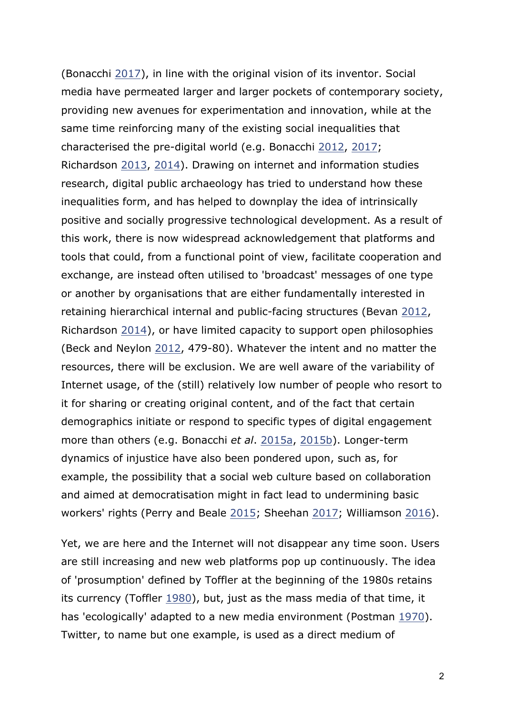(Bonacchi 2017), in line with the original vision of its inventor. Social media have permeated larger and larger pockets of contemporary society, providing new avenues for experimentation and innovation, while at the same time reinforcing many of the existing social inequalities that characterised the pre-digital world (e.g. Bonacchi 2012, 2017; Richardson 2013, 2014). Drawing on internet and information studies research, digital public archaeology has tried to understand how these inequalities form, and has helped to downplay the idea of intrinsically positive and socially progressive technological development. As a result of this work, there is now widespread acknowledgement that platforms and tools that could, from a functional point of view, facilitate cooperation and exchange, are instead often utilised to 'broadcast' messages of one type or another by organisations that are either fundamentally interested in retaining hierarchical internal and public-facing structures (Bevan 2012, Richardson 2014), or have limited capacity to support open philosophies (Beck and Neylon 2012, 479-80). Whatever the intent and no matter the resources, there will be exclusion. We are well aware of the variability of Internet usage, of the (still) relatively low number of people who resort to it for sharing or creating original content, and of the fact that certain demographics initiate or respond to specific types of digital engagement more than others (e.g. Bonacchi *et al*. 2015a, 2015b). Longer-term dynamics of injustice have also been pondered upon, such as, for example, the possibility that a social web culture based on collaboration and aimed at democratisation might in fact lead to undermining basic workers' rights (Perry and Beale 2015; Sheehan 2017; Williamson 2016).

Yet, we are here and the Internet will not disappear any time soon. Users are still increasing and new web platforms pop up continuously. The idea of 'prosumption' defined by Toffler at the beginning of the 1980s retains its currency (Toffler 1980), but, just as the mass media of that time, it has 'ecologically' adapted to a new media environment (Postman 1970). Twitter, to name but one example, is used as a direct medium of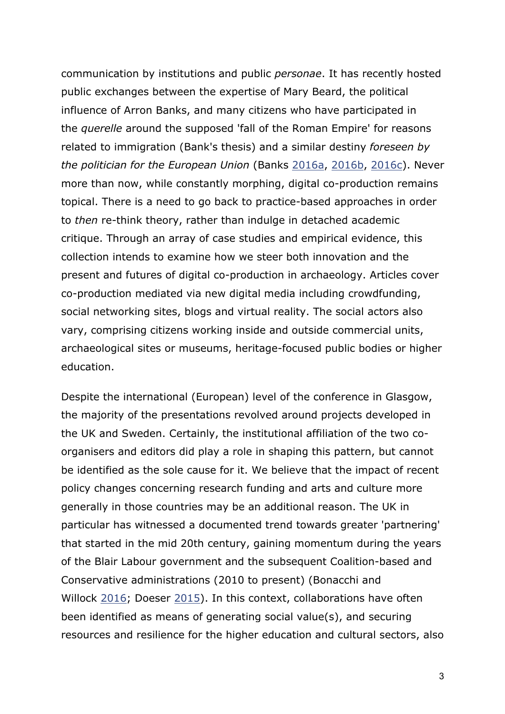communication by institutions and public *personae*. It has recently hosted public exchanges between the expertise of Mary Beard, the political influence of Arron Banks, and many citizens who have participated in the *querelle* around the supposed 'fall of the Roman Empire' for reasons related to immigration (Bank's thesis) and a similar destiny *foreseen by the politician for the European Union* (Banks 2016a, 2016b, 2016c). Never more than now, while constantly morphing, digital co-production remains topical. There is a need to go back to practice-based approaches in order to *then* re-think theory, rather than indulge in detached academic critique. Through an array of case studies and empirical evidence, this collection intends to examine how we steer both innovation and the present and futures of digital co-production in archaeology. Articles cover co-production mediated via new digital media including crowdfunding, social networking sites, blogs and virtual reality. The social actors also vary, comprising citizens working inside and outside commercial units, archaeological sites or museums, heritage-focused public bodies or higher education.

Despite the international (European) level of the conference in Glasgow, the majority of the presentations revolved around projects developed in the UK and Sweden. Certainly, the institutional affiliation of the two coorganisers and editors did play a role in shaping this pattern, but cannot be identified as the sole cause for it. We believe that the impact of recent policy changes concerning research funding and arts and culture more generally in those countries may be an additional reason. The UK in particular has witnessed a documented trend towards greater 'partnering' that started in the mid 20th century, gaining momentum during the years of the Blair Labour government and the subsequent Coalition-based and Conservative administrations (2010 to present) (Bonacchi and Willock 2016; Doeser 2015). In this context, collaborations have often been identified as means of generating social value(s), and securing resources and resilience for the higher education and cultural sectors, also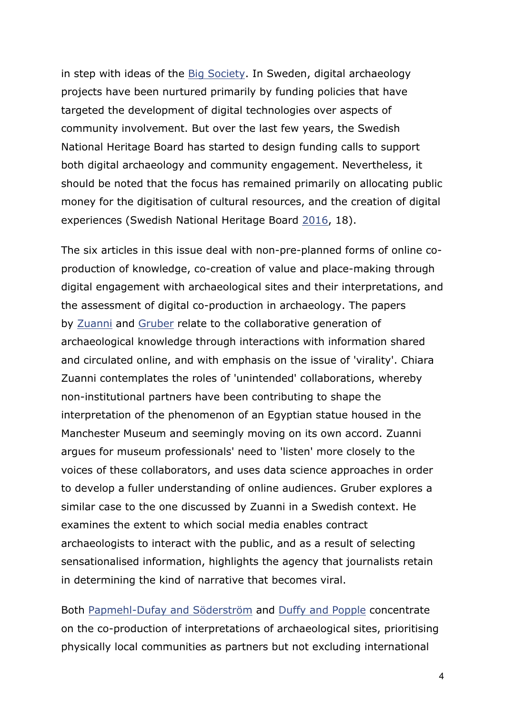in step with ideas of the Big Society. In Sweden, digital archaeology projects have been nurtured primarily by funding policies that have targeted the development of digital technologies over aspects of community involvement. But over the last few years, the Swedish National Heritage Board has started to design funding calls to support both digital archaeology and community engagement. Nevertheless, it should be noted that the focus has remained primarily on allocating public money for the digitisation of cultural resources, and the creation of digital experiences (Swedish National Heritage Board 2016, 18).

The six articles in this issue deal with non-pre-planned forms of online coproduction of knowledge, co-creation of value and place-making through digital engagement with archaeological sites and their interpretations, and the assessment of digital co-production in archaeology. The papers by Zuanni and Gruber relate to the collaborative generation of archaeological knowledge through interactions with information shared and circulated online, and with emphasis on the issue of 'virality'. Chiara Zuanni contemplates the roles of 'unintended' collaborations, whereby non-institutional partners have been contributing to shape the interpretation of the phenomenon of an Egyptian statue housed in the Manchester Museum and seemingly moving on its own accord. Zuanni argues for museum professionals' need to 'listen' more closely to the voices of these collaborators, and uses data science approaches in order to develop a fuller understanding of online audiences. Gruber explores a similar case to the one discussed by Zuanni in a Swedish context. He examines the extent to which social media enables contract archaeologists to interact with the public, and as a result of selecting sensationalised information, highlights the agency that journalists retain in determining the kind of narrative that becomes viral.

Both Papmehl-Dufay and Söderström and Duffy and Popple concentrate on the co-production of interpretations of archaeological sites, prioritising physically local communities as partners but not excluding international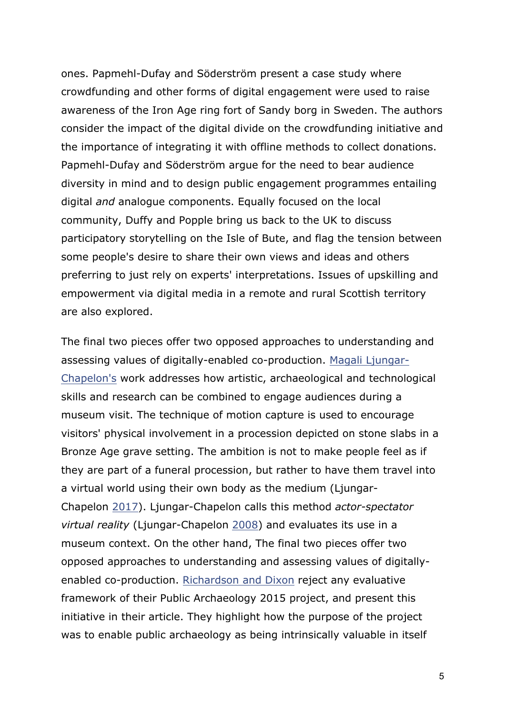ones. Papmehl-Dufay and Söderström present a case study where crowdfunding and other forms of digital engagement were used to raise awareness of the Iron Age ring fort of Sandy borg in Sweden. The authors consider the impact of the digital divide on the crowdfunding initiative and the importance of integrating it with offline methods to collect donations. Papmehl-Dufay and Söderström argue for the need to bear audience diversity in mind and to design public engagement programmes entailing digital *and* analogue components. Equally focused on the local community, Duffy and Popple bring us back to the UK to discuss participatory storytelling on the Isle of Bute, and flag the tension between some people's desire to share their own views and ideas and others preferring to just rely on experts' interpretations. Issues of upskilling and empowerment via digital media in a remote and rural Scottish territory are also explored.

The final two pieces offer two opposed approaches to understanding and assessing values of digitally-enabled co-production. Magali Ljungar-Chapelon's work addresses how artistic, archaeological and technological skills and research can be combined to engage audiences during a museum visit. The technique of motion capture is used to encourage visitors' physical involvement in a procession depicted on stone slabs in a Bronze Age grave setting. The ambition is not to make people feel as if they are part of a funeral procession, but rather to have them travel into a virtual world using their own body as the medium (Ljungar-Chapelon 2017). Ljungar-Chapelon calls this method *actor-spectator virtual reality* (Ljungar-Chapelon 2008) and evaluates its use in a museum context. On the other hand, The final two pieces offer two opposed approaches to understanding and assessing values of digitallyenabled co-production. Richardson and Dixon reject any evaluative framework of their Public Archaeology 2015 project, and present this initiative in their article. They highlight how the purpose of the project was to enable public archaeology as being intrinsically valuable in itself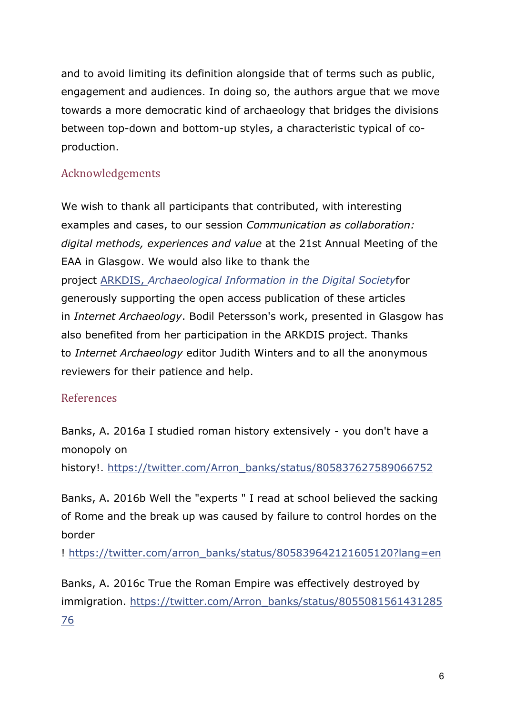and to avoid limiting its definition alongside that of terms such as public, engagement and audiences. In doing so, the authors argue that we move towards a more democratic kind of archaeology that bridges the divisions between top-down and bottom-up styles, a characteristic typical of coproduction.

# Acknowledgements

We wish to thank all participants that contributed, with interesting examples and cases, to our session *Communication as collaboration: digital methods, experiences and value* at the 21st Annual Meeting of the EAA in Glasgow. We would also like to thank the project ARKDIS, *Archaeological Information in the Digital Society*for generously supporting the open access publication of these articles in *Internet Archaeology*. Bodil Petersson's work, presented in Glasgow has also benefited from her participation in the ARKDIS project. Thanks to *Internet Archaeology* editor Judith Winters and to all the anonymous reviewers for their patience and help.

### References

Banks, A. 2016a I studied roman history extensively - you don't have a monopoly on

history!. https://twitter.com/Arron\_banks/status/805837627589066752

Banks, A. 2016b Well the "experts " I read at school believed the sacking of Rome and the break up was caused by failure to control hordes on the border

! https://twitter.com/arron\_banks/status/805839642121605120?lang=en

Banks, A. 2016c True the Roman Empire was effectively destroyed by immigration. https://twitter.com/Arron\_banks/status/8055081561431285 76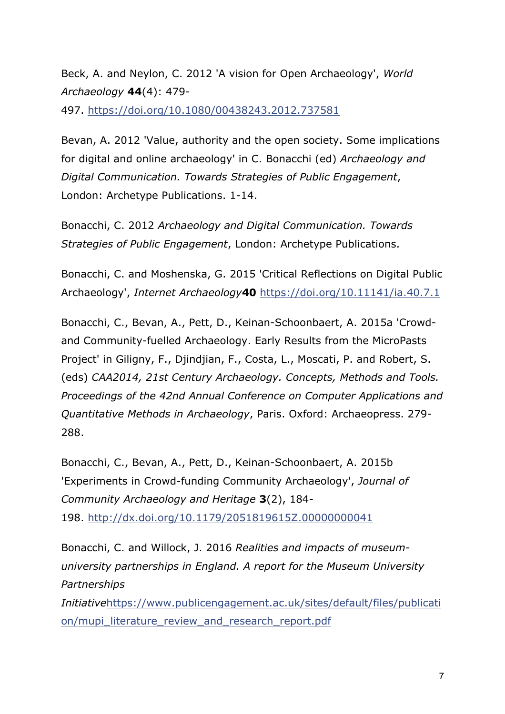Beck, A. and Neylon, C. 2012 'A vision for Open Archaeology', *World Archaeology* **44**(4): 479-

497. https://doi.org/10.1080/00438243.2012.737581

Bevan, A. 2012 'Value, authority and the open society. Some implications for digital and online archaeology' in C. Bonacchi (ed) *Archaeology and Digital Communication. Towards Strategies of Public Engagement*, London: Archetype Publications. 1-14.

Bonacchi, C. 2012 *Archaeology and Digital Communication. Towards Strategies of Public Engagement*, London: Archetype Publications.

Bonacchi, C. and Moshenska, G. 2015 'Critical Reflections on Digital Public Archaeology', *Internet Archaeology***40** https://doi.org/10.11141/ia.40.7.1

Bonacchi, C., Bevan, A., Pett, D., Keinan-Schoonbaert, A. 2015a 'Crowdand Community-fuelled Archaeology. Early Results from the MicroPasts Project' in Giligny, F., Djindjian, F., Costa, L., Moscati, P. and Robert, S. (eds) *CAA2014, 21st Century Archaeology. Concepts, Methods and Tools. Proceedings of the 42nd Annual Conference on Computer Applications and Quantitative Methods in Archaeology*, Paris. Oxford: Archaeopress. 279- 288.

Bonacchi, C., Bevan, A., Pett, D., Keinan-Schoonbaert, A. 2015b 'Experiments in Crowd-funding Community Archaeology', *Journal of Community Archaeology and Heritage* **3**(2), 184- 198. http://dx.doi.org/10.1179/2051819615Z.00000000041

Bonacchi, C. and Willock, J. 2016 *Realities and impacts of museumuniversity partnerships in England. A report for the Museum University Partnerships Initiative*https://www.publicengagement.ac.uk/sites/default/files/publicati on/mupi\_literature\_review\_and\_research\_report.pdf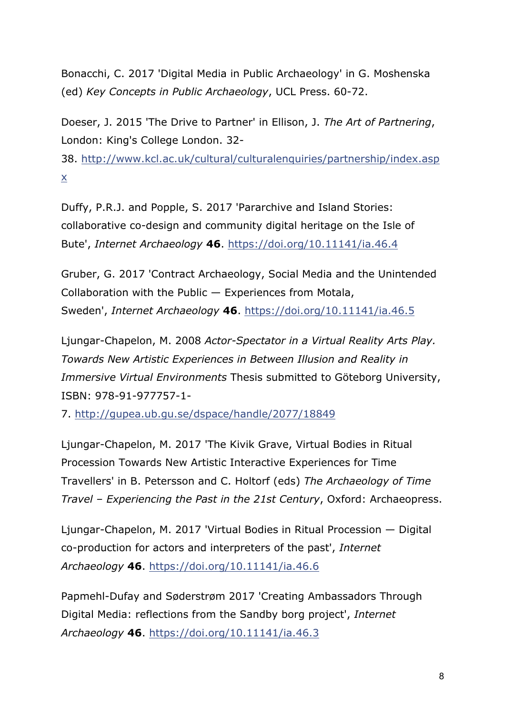Bonacchi, C. 2017 'Digital Media in Public Archaeology' in G. Moshenska (ed) *Key Concepts in Public Archaeology*, UCL Press. 60-72.

Doeser, J. 2015 'The Drive to Partner' in Ellison, J. *The Art of Partnering*, London: King's College London. 32-

38. http://www.kcl.ac.uk/cultural/culturalenquiries/partnership/index.asp x

Duffy, P.R.J. and Popple, S. 2017 'Pararchive and Island Stories: collaborative co-design and community digital heritage on the Isle of Bute', *Internet Archaeology* **46**. https://doi.org/10.11141/ia.46.4

Gruber, G. 2017 'Contract Archaeology, Social Media and the Unintended Collaboration with the Public — Experiences from Motala, Sweden', *Internet Archaeology* **46**. https://doi.org/10.11141/ia.46.5

Ljungar-Chapelon, M. 2008 *Actor-Spectator in a Virtual Reality Arts Play. Towards New Artistic Experiences in Between Illusion and Reality in Immersive Virtual Environments* Thesis submitted to Göteborg University, ISBN: 978-91-977757-1-

7. http://gupea.ub.gu.se/dspace/handle/2077/18849

Ljungar-Chapelon, M. 2017 'The Kivik Grave, Virtual Bodies in Ritual Procession Towards New Artistic Interactive Experiences for Time Travellers' in B. Petersson and C. Holtorf (eds) *The Archaeology of Time Travel – Experiencing the Past in the 21st Century*, Oxford: Archaeopress.

Ljungar-Chapelon, M. 2017 'Virtual Bodies in Ritual Procession — Digital co-production for actors and interpreters of the past', *Internet Archaeology* **46**. https://doi.org/10.11141/ia.46.6

Papmehl-Dufay and Søderstrøm 2017 'Creating Ambassadors Through Digital Media: reflections from the Sandby borg project', *Internet Archaeology* **46**. https://doi.org/10.11141/ia.46.3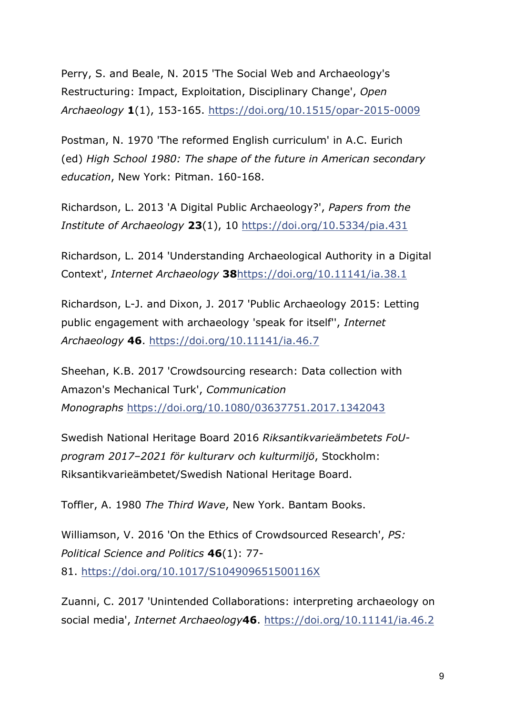Perry, S. and Beale, N. 2015 'The Social Web and Archaeology's Restructuring: Impact, Exploitation, Disciplinary Change', *Open Archaeology* **1**(1), 153-165. https://doi.org/10.1515/opar-2015-0009

Postman, N. 1970 'The reformed English curriculum' in A.C. Eurich (ed) *High School 1980: The shape of the future in American secondary education*, New York: Pitman. 160-168.

Richardson, L. 2013 'A Digital Public Archaeology?', *Papers from the Institute of Archaeology* **23**(1), 10 https://doi.org/10.5334/pia.431

Richardson, L. 2014 'Understanding Archaeological Authority in a Digital Context', *Internet Archaeology* **38**https://doi.org/10.11141/ia.38.1

Richardson, L-J. and Dixon, J. 2017 'Public Archaeology 2015: Letting public engagement with archaeology 'speak for itself'', *Internet Archaeology* **46**. https://doi.org/10.11141/ia.46.7

Sheehan, K.B. 2017 'Crowdsourcing research: Data collection with Amazon's Mechanical Turk', *Communication Monographs* https://doi.org/10.1080/03637751.2017.1342043

Swedish National Heritage Board 2016 *Riksantikvarieämbetets FoUprogram 2017–2021 för kulturarv och kulturmiljö*, Stockholm: Riksantikvarieämbetet/Swedish National Heritage Board.

Toffler, A. 1980 *The Third Wave*, New York. Bantam Books.

Williamson, V. 2016 'On the Ethics of Crowdsourced Research', *PS: Political Science and Politics* **46**(1): 77- 81. https://doi.org/10.1017/S104909651500116X

Zuanni, C. 2017 'Unintended Collaborations: interpreting archaeology on social media', *Internet Archaeology***46**. https://doi.org/10.11141/ia.46.2